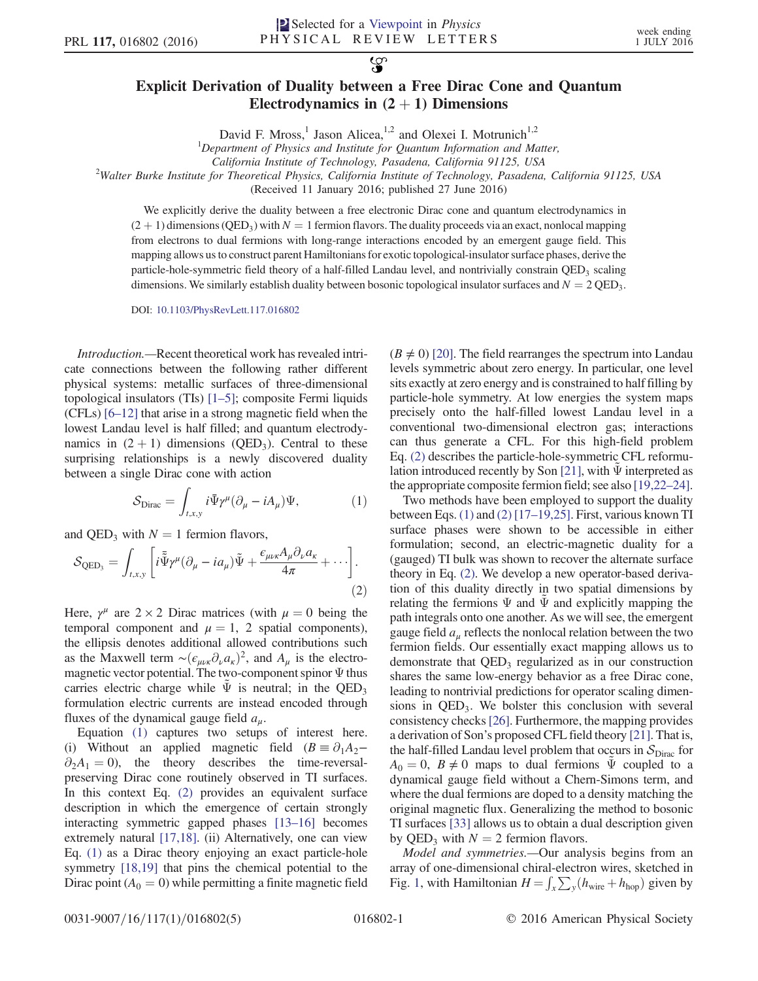$\mathbf{S}$ 

## Explicit Derivation of Duality between a Free Dirac Cone and Quantum Electrodynamics in  $(2 + 1)$  Dimensions

David F. Mross,<sup>1</sup> Jason Alicea,<sup>1,2</sup> and Olexei I. Motrunich<sup>1,2</sup>

 ${}^{1}$ Department of Physics and Institute for Quantum Information and Matter,

California Institute of Technology, Pasadena, California 91125, USA <sup>2</sup>

<sup>2</sup>Walter Burke Institute for Theoretical Physics, California Institute of Technology, Pasadena, California 91125, USA

(Received 11 January 2016; published 27 June 2016)

We explicitly derive the duality between a free electronic Dirac cone and quantum electrodynamics in  $(2 + 1)$  dimensions (QED<sub>3</sub>) with  $N = 1$  fermion flavors. The duality proceeds via an exact, nonlocal mapping from electrons to dual fermions with long-range interactions encoded by an emergent gauge field. This mapping allows us to construct parent Hamiltonians for exotic topological-insulator surface phases, derive the particle-hole-symmetric field theory of a half-filled Landau level, and nontrivially constrain QED<sub>3</sub> scaling dimensions. We similarly establish duality between bosonic topological insulator surfaces and  $N = 2$  QED<sub>3</sub>.

DOI: [10.1103/PhysRevLett.117.016802](http://dx.doi.org/10.1103/PhysRevLett.117.016802)

Introduction.—Recent theoretical work has revealed intricate connections between the following rather different physical systems: metallic surfaces of three-dimensional topological insulators (TIs) [1–[5\]](#page-4-0); composite Fermi liquids (CFLs) [6–[12\]](#page-4-1) that arise in a strong magnetic field when the lowest Landau level is half filled; and quantum electrodynamics in  $(2 + 1)$  dimensions (QED<sub>3</sub>). Central to these surprising relationships is a newly discovered duality between a single Dirac cone with action

$$
S_{\text{Dirac}} = \int_{t,x,y} i \bar{\Psi} \gamma^{\mu} (\partial_{\mu} - iA_{\mu}) \Psi, \tag{1}
$$

<span id="page-0-1"></span><span id="page-0-0"></span>and QED<sub>3</sub> with  $N = 1$  fermion flavors,

$$
\mathcal{S}_{\text{QED}_3} = \int_{t,x,y} \left[ i \tilde{\tilde{\Psi}} \gamma^{\mu} (\partial_{\mu} - i a_{\mu}) \tilde{\Psi} + \frac{\epsilon_{\mu\nu\kappa} A_{\mu} \partial_{\nu} a_{\kappa}}{4\pi} + \cdots \right].
$$
\n(2)

Here,  $\gamma^{\mu}$  are 2 × 2 Dirac matrices (with  $\mu = 0$  being the temporal component and  $\mu = 1$ , 2 spatial components), the ellipsis denotes additional allowed contributions such as the Maxwell term  $\sim (\epsilon_{\mu\nu\kappa}\partial_\nu a_\kappa)^2$ , and  $A_\mu$  is the electromagnetic vector potential. The two-component spinor  $\Psi$  thus carries electric charge while  $\tilde{\Psi}$  is neutral; in the QED<sub>3</sub> formulation electric currents are instead encoded through fluxes of the dynamical gauge field  $a_{\mu}$ .

Equation [\(1\)](#page-0-0) captures two setups of interest here. (i) Without an applied magnetic field  $(B \equiv \partial_1 A_2$ −  $\partial_2 A_1 = 0$ ), the theory describes the time-reversalpreserving Dirac cone routinely observed in TI surfaces. In this context Eq. [\(2\)](#page-0-1) provides an equivalent surface description in which the emergence of certain strongly interacting symmetric gapped phases [13–[16\]](#page-4-2) becomes extremely natural [\[17,18\].](#page-4-3) (ii) Alternatively, one can view Eq. [\(1\)](#page-0-0) as a Dirac theory enjoying an exact particle-hole symmetry  $[18,19]$  that pins the chemical potential to the Dirac point ( $A_0 = 0$ ) while permitting a finite magnetic field  $(B \neq 0)$  [\[20\]](#page-4-5). The field rearranges the spectrum into Landau levels symmetric about zero energy. In particular, one level sits exactly at zero energy and is constrained to half filling by particle-hole symmetry. At low energies the system maps precisely onto the half-filled lowest Landau level in a conventional two-dimensional electron gas; interactions can thus generate a CFL. For this high-field problem Eq. [\(2\)](#page-0-1) describes the particle-hole-symmetric CFL reformu-lation introduced recently by Son [\[21\],](#page-4-6) with  $\Psi$  interpreted as the appropriate composite fermion field; see also [\[19,22](#page-4-7)–24].

Two methods have been employed to support the duality between Eqs. [\(1\)](#page-0-0) and [\(2\)](#page-0-1) [17–[19,25\].](#page-4-3) First, various known TI surface phases were shown to be accessible in either formulation; second, an electric-magnetic duality for a (gauged) TI bulk was shown to recover the alternate surface theory in Eq. [\(2\).](#page-0-1) We develop a new operator-based derivation of this duality directly in two spatial dimensions by relating the fermions  $\Psi$  and  $\Psi$  and explicitly mapping the path integrals onto one another. As we will see, the emergent gauge field  $a<sub>u</sub>$  reflects the nonlocal relation between the two fermion fields. Our essentially exact mapping allows us to demonstrate that  $QED_3$  regularized as in our construction shares the same low-energy behavior as a free Dirac cone, leading to nontrivial predictions for operator scaling dimensions in  $QED_3$ . We bolster this conclusion with several consistency checks[\[26\].](#page-4-8) Furthermore, the mapping provides a derivation of Son's proposed CFL field theory [\[21\].](#page-4-6) That is, the half-filled Landau level problem that occurs in  $S_{\text{Dirac}}$  for  $A_0 = 0$ ,  $B \neq 0$  maps to dual fermions  $\tilde{\Psi}$  coupled to a dynamical gauge field without a Chern-Simons term, and where the dual fermions are doped to a density matching the original magnetic flux. Generalizing the method to bosonic TI surfaces [\[33\]](#page-4-9) allows us to obtain a dual description given by QED<sub>3</sub> with  $N = 2$  fermion flavors.

<span id="page-0-2"></span>Model and symmetries.—Our analysis begins from an array of one-dimensional chiral-electron wires, sketched in Fig. [1,](#page-1-0) with Hamiltonian  $H = \int_x \sum_y (h_{\text{wire}} + h_{\text{hop}})$  given by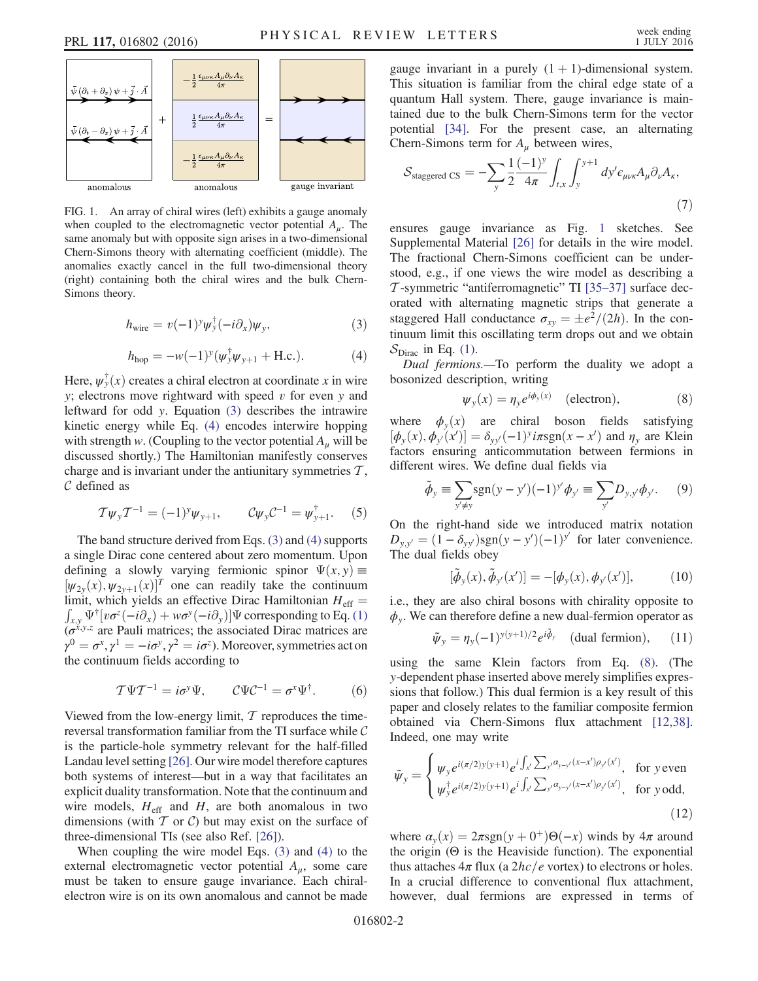<span id="page-1-0"></span>

FIG. 1. An array of chiral wires (left) exhibits a gauge anomaly when coupled to the electromagnetic vector potential  $A_{\mu}$ . The same anomaly but with opposite sign arises in a two-dimensional Chern-Simons theory with alternating coefficient (middle). The anomalies exactly cancel in the full two-dimensional theory (right) containing both the chiral wires and the bulk Chern-Simons theory.

$$
h_{\text{wire}} = v(-1)^y \psi_y^{\dagger}(-i\partial_x)\psi_y,\tag{3}
$$

$$
h_{\rm hop} = -w(-1)^y(\psi_y^{\dagger}\psi_{y+1} + \text{H.c.}).\tag{4}
$$

<span id="page-1-1"></span>Here,  $\psi_y^{\dagger}(x)$  creates a chiral electron at coordinate x in wire y; electrons move rightward with speed  $v$  for even  $y$  and leftward for odd y. Equation [\(3\)](#page-0-2) describes the intrawire kinetic energy while Eq. [\(4\)](#page-1-1) encodes interwire hopping with strength w. (Coupling to the vector potential  $A<sub>u</sub>$  will be discussed shortly.) The Hamiltonian manifestly conserves charge and is invariant under the antiunitary symmetries  $\mathcal{T}$ ,  $C$  defined as

<span id="page-1-7"></span>
$$
\mathcal{T}\psi_{y}\mathcal{T}^{-1} = (-1)^{y}\psi_{y+1}, \qquad \mathcal{C}\psi_{y}\mathcal{C}^{-1} = \psi_{y+1}^{\dagger}.
$$
 (5)

The band structure derived from Eqs. [\(3\)](#page-0-2) and [\(4\)](#page-1-1) supports a single Dirac cone centered about zero momentum. Upon defining a slowly varying fermionic spinor  $\Psi(x, y) \equiv$  $[\psi_{2y}(x), \psi_{2y+1}(x)]^T$  one can readily take the continuum  $\int_{x,y} \Psi^{\dagger} [v \sigma^z (-i\partial_x) + w \sigma^y (-i\partial_y)] \Psi$  corresponding to Eq. [\(1\)](#page-0-0) limit, which yields an effective Dirac Hamiltonian  $H_{\text{eff}} =$  $(\sigma^{x,y,z}$  are Pauli matrices; the associated Dirac matrices are  $\gamma^0 = \sigma^x, \gamma^1 = -i\sigma^y, \gamma^2 = i\sigma^z$ ). Moreover, symmetries act on the continuum fields according to

<span id="page-1-4"></span>
$$
\mathcal{T}\Psi\mathcal{T}^{-1}=i\sigma^{\mathsf{y}}\Psi,\qquad\mathcal{C}\Psi\mathcal{C}^{-1}=\sigma^{\mathsf{x}}\Psi^{\dagger}.\tag{6}
$$

Viewed from the low-energy limit,  $T$  reproduces the timereversal transformation familiar from the TI surface while C is the particle-hole symmetry relevant for the half-filled Landau level setting [\[26\]](#page-4-8). Our wire model therefore captures both systems of interest—but in a way that facilitates an explicit duality transformation. Note that the continuum and wire models,  $H_{\text{eff}}$  and H, are both anomalous in two dimensions (with  $T$  or  $C$ ) but may exist on the surface of three-dimensional TIs (see also Ref. [\[26\]\)](#page-4-8).

When coupling the wire model Eqs. [\(3\)](#page-0-2) and [\(4\)](#page-1-1) to the external electromagnetic vector potential  $A_{\mu}$ , some care must be taken to ensure gauge invariance. Each chiralelectron wire is on its own anomalous and cannot be made gauge invariant in a purely  $(1 + 1)$ -dimensional system. This situation is familiar from the chiral edge state of a quantum Hall system. There, gauge invariance is maintained due to the bulk Chern-Simons term for the vector potential [\[34\].](#page-4-10) For the present case, an alternating Chern-Simons term for  $A_u$  between wires,

<span id="page-1-6"></span>
$$
S_{\text{staggered CS}} = -\sum_{y} \frac{1}{2} \frac{(-1)^y}{4\pi} \int_{t,x} \int_{y}^{y+1} dy' \epsilon_{\mu\nu\kappa} A_{\mu} \partial_{\nu} A_{\kappa},\tag{7}
$$

ensures gauge invariance as Fig. [1](#page-1-0) sketches. See Supplemental Material [\[26\]](#page-4-8) for details in the wire model. The fractional Chern-Simons coefficient can be understood, e.g., if one views the wire model as describing a T -symmetric "antiferromagnetic" TI [35–[37\]](#page-4-11) surface decorated with alternating magnetic strips that generate a staggered Hall conductance  $\sigma_{xy} = \pm e^2/(2h)$ . In the continuum limit this oscillating term drops out and we obtain  $\mathcal{S}_{\text{Dirac}}$  in Eq. [\(1\).](#page-0-0)

<span id="page-1-2"></span>Dual fermions.—To perform the duality we adopt a bosonized description, writing

$$
\psi_y(x) = \eta_y e^{i\phi_y(x)} \quad \text{(electron)}, \tag{8}
$$

<span id="page-1-3"></span>where  $\phi_y(x)$  are chiral boson fields satisfying  $[\phi_y(x), \phi_{y'}(x')] = \delta_{yy'}(-1)^y i\pi \text{sgn}(x - x')$  and  $\eta_y$  are Klein factors ensuring anticommutation between fermions in different wires. We define dual fields via

$$
\tilde{\phi}_y = \sum_{y' \neq y} sgn(y - y')(-1)^{y'} \phi_{y'} = \sum_{y'} D_{y, y'} \phi_{y'}.
$$
 (9)

<span id="page-1-5"></span>On the right-hand side we introduced matrix notation  $D_{y,y'} = (1 - \delta_{yy'})$ sgn $(y - y')(-1)^{y'}$  for later convenience. The dual fields obey

$$
[\tilde{\phi}_y(x), \tilde{\phi}_{y'}(x')] = -[\phi_y(x), \phi_{y'}(x')], \quad (10)
$$

i.e., they are also chiral bosons with chirality opposite to  $\phi_{y}$ . We can therefore define a new dual-fermion operator as

$$
\tilde{\psi}_y = \eta_y(-1)^{y(y+1)/2} e^{i\tilde{\phi}_y} \quad \text{(dual fermion)}, \qquad (11)
$$

using the same Klein factors from Eq. [\(8\)](#page-1-2). (The y-dependent phase inserted above merely simplifies expressions that follow.) This dual fermion is a key result of this paper and closely relates to the familiar composite fermion obtained via Chern-Simons flux attachment [\[12,38\]](#page-4-12). Indeed, one may write

$$
\tilde{\psi}_y = \begin{cases} \psi_y e^{i(\pi/2)y(y+1)} e^{i \int_{x'} \sum_{y'} \alpha_{y-y'} (x-x') \rho_{y'}(x')} , & \text{for y even} \\ \psi_y^+ e^{i(\pi/2)y(y+1)} e^{i \int_{x'} \sum_{y'} \alpha_{y-y'} (x-x') \rho_{y'}(x')} , & \text{for y odd,} \end{cases}
$$
\n(12)

where  $\alpha_{y}(x) = 2\pi \text{sgn}(y + 0^{+})\Theta(-x)$  winds by  $4\pi$  around the origin (Θ is the Heaviside function). The exponential thus attaches  $4\pi$  flux (a  $2hc/e$  vortex) to electrons or holes. In a crucial difference to conventional flux attachment, however, dual fermions are expressed in terms of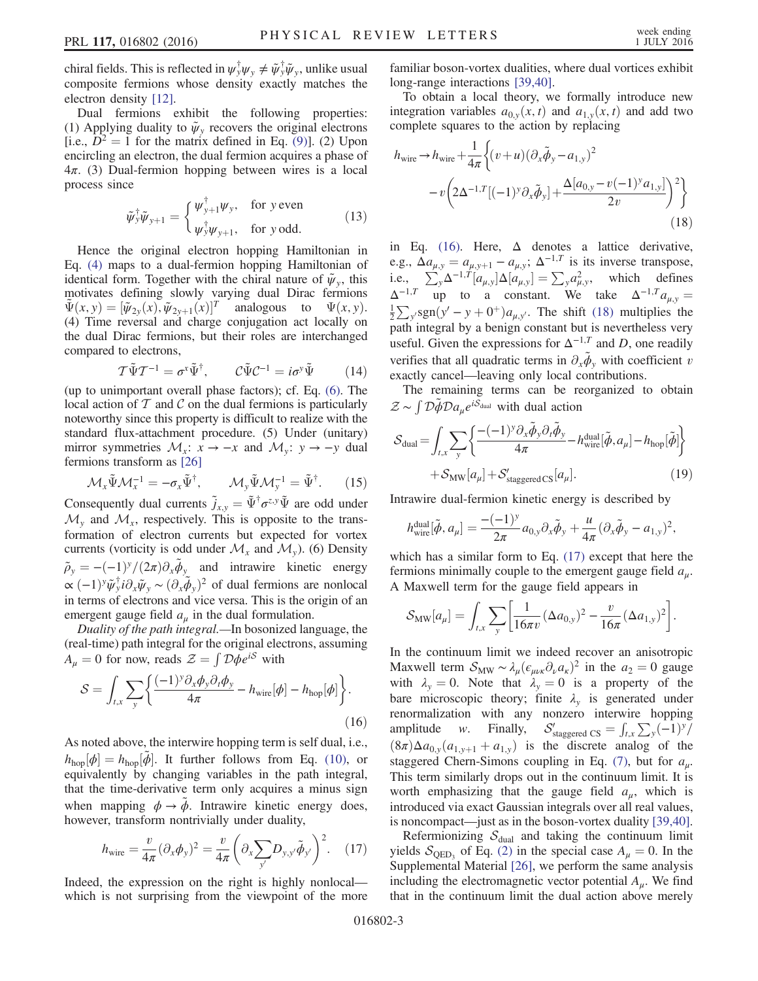chiral fields. This is reflected in  $\psi_y^{\dagger} \psi_y \neq \tilde{\psi}_y^{\dagger} \tilde{\psi}_y$ , unlike usual composite fermions whose density exactly matches the electron density [\[12\].](#page-4-12)

Dual fermions exhibit the following properties: (1) Applying duality to  $\tilde{\psi}_v$  recovers the original electrons [i.e.,  $D^2 = 1$  for the matrix defined in Eq. [\(9\)](#page-1-3)]. (2) Upon encircling an electron, the dual fermion acquires a phase of  $4\pi$ . (3) Dual-fermion hopping between wires is a local process since

<span id="page-2-4"></span>
$$
\tilde{\psi}_{y}^{\dagger}\tilde{\psi}_{y+1} = \begin{cases} \psi_{y+1}^{\dagger}\psi_{y}, & \text{for y even} \\ \psi_{y}^{\dagger}\psi_{y+1}, & \text{for y odd.} \end{cases}
$$
 (13)

Hence the original electron hopping Hamiltonian in Eq. [\(4\)](#page-1-1) maps to a dual-fermion hopping Hamiltonian of identical form. Together with the chiral nature of  $\tilde{\psi}_y$ , this motivates defining slowly varying dual Dirac fermions  $\Psi(x, y) = [\tilde{\psi}_{2y}(x), \tilde{\psi}_{2y+1}(x)]^T$  analogous to  $\Psi(x, y)$ . (4) Time reversal and charge conjugation act locally on the dual Dirac fermions, but their roles are interchanged compared to electrons,

$$
\mathcal{T}\tilde{\Psi}\mathcal{T}^{-1}=\sigma^x\tilde{\Psi}^{\dagger}, \qquad \mathcal{C}\tilde{\Psi}\mathcal{C}^{-1}=i\sigma^y\tilde{\Psi} \qquad (14)
$$

<span id="page-2-3"></span>(up to unimportant overall phase factors); cf. Eq. [\(6\).](#page-1-4) The local action of  $T$  and  $C$  on the dual fermions is particularly noteworthy since this property is difficult to realize with the standard flux-attachment procedure. (5) Under (unitary) mirror symmetries  $\mathcal{M}_x$ :  $x \to -x$  and  $\mathcal{M}_y$ :  $y \to -y$  dual fermions transform as [\[26\]](#page-4-8)

$$
\mathcal{M}_x \tilde{\Psi} \mathcal{M}_x^{-1} = -\sigma_x \tilde{\Psi}^\dagger, \qquad \mathcal{M}_y \tilde{\Psi} \mathcal{M}_y^{-1} = \tilde{\Psi}^\dagger. \tag{15}
$$

Consequently dual currents  $\tilde{j}_{x,y} = \tilde{\Psi}^{\dagger} \sigma^{z,y} \tilde{\Psi}$  are odd under  $\mathcal{M}_{v}$  and  $\mathcal{M}_{x}$ , respectively. This is opposite to the transformation of electron currents but expected for vortex currents (vorticity is odd under  $\mathcal{M}_x$  and  $\mathcal{M}_y$ ). (6) Density  $\tilde{\rho}_y = -(-1)^y/(2\pi)\partial_x\tilde{\phi}_y$  and intrawire kinetic energy  $\propto (-1)^y \tilde{\psi}_y^{\dagger} i \partial_x \tilde{\psi}_y \sim (\partial_x \tilde{\phi}_y)^2$  of dual fermions are nonlocal in terms of electrons and vice versa. This is the origin of an emergent gauge field  $a<sub>u</sub>$  in the dual formulation.

<span id="page-2-0"></span>Duality of the path integral.—In bosonized language, the (real-time) path integral for the original electrons, assuming  $A_{\mu} = 0$  for now, reads  $\mathcal{Z} = \int \mathcal{D}\phi e^{iS}$  with

$$
S = \int_{t,x} \sum_{y} \left\{ \frac{(-1)^{y} \partial_{x} \phi_{y} \partial_{t} \phi_{y}}{4\pi} - h_{\text{wire}}[\phi] - h_{\text{hop}}[\phi] \right\}.
$$
\n(16)

As noted above, the interwire hopping term is self dual, i.e.,  $h_{\text{hop}}[\phi] = h_{\text{hop}}[\phi]$ . It further follows from Eq. [\(10\),](#page-1-5) or equivalently by changing variables in the path integral, that the time-derivative term only acquires a minus sign when mapping  $\phi \rightarrow \phi$ . Intrawire kinetic energy does, however, transform nontrivially under duality,

<span id="page-2-2"></span>
$$
h_{\text{wire}} = \frac{v}{4\pi} (\partial_x \phi_y)^2 = \frac{v}{4\pi} \left( \partial_x \sum_{y'} D_{y, y'} \tilde{\phi}_{y'} \right)^2.
$$
 (17)

Indeed, the expression on the right is highly nonlocal which is not surprising from the viewpoint of the more

familiar boson-vortex dualities, where dual vortices exhibit long-range interactions [\[39,40\].](#page-4-13)

<span id="page-2-1"></span>To obtain a local theory, we formally introduce new integration variables  $a_{0,y}(x, t)$  and  $a_{1,y}(x, t)$  and add two complete squares to the action by replacing

$$
h_{\text{wire}} \to h_{\text{wire}} + \frac{1}{4\pi} \left\{ (v+u)(\partial_x \tilde{\phi}_y - a_{1,y})^2 - v \left( 2\Delta^{-1,T} [(-1)^y \partial_x \tilde{\phi}_y] + \frac{\Delta[a_{0,y} - v(-1)^y a_{1,y}]}{2v} \right)^2 \right\}
$$
\n(18)

in Eq. [\(16\).](#page-2-0) Here,  $\Delta$  denotes a lattice derivative, e.g.,  $\Delta a_{\mu, y} = a_{\mu, y+1} - a_{\mu, y}$ ;  $\Delta^{-1}$  is its inverse transpose, i.e.,  $\sum_{y}^{\infty} \Delta^{-1,T} [a_{\mu,y}] \Delta [a_{\mu,y}] = \sum_{y} a_{\mu,y}^2$ , which defines  $\Delta^{-1,T}$  up to a constant. We take  $\Delta^{-1,T} a_{\mu,y} =$  $\frac{1}{2}\sum_{y} sgn(y'-y+0^+) a_{\mu,y'}$ . The shift [\(18\)](#page-2-1) multiplies the path integral by a benign constant but is nevertheless very useful. Given the expressions for  $\Delta^{-1,T}$  and D, one readily verifies that all quadratic terms in  $\partial_x \tilde{\phi}_y$  with coefficient v exactly cancel—leaving only local contributions.

<span id="page-2-5"></span>The remaining terms can be reorganized to obtain  $\mathcal{Z} \sim \int \mathcal{D} \tilde{\phi} \mathcal{D} a_{\mu} e^{iS_{\text{dual}}}$  with dual action

$$
S_{\text{dual}} = \int_{t,x} \sum_{y} \left\{ \frac{-(-1)^{y} \partial_{x} \tilde{\phi}_{y} \partial_{t} \tilde{\phi}_{y}}{4\pi} - h_{\text{wire}}^{\text{dual}}[\tilde{\phi}, a_{\mu}] - h_{\text{hop}}[\tilde{\phi}] \right\} + \mathcal{S}_{\text{MW}}[a_{\mu}] + \mathcal{S}_{\text{stagger}}'[\tilde{\phi}].
$$
 (19)

Intrawire dual-fermion kinetic energy is described by

$$
h_{\text{wire}}^{\text{dual}}[\tilde{\phi}, a_{\mu}] = \frac{-(-1)^y}{2\pi} a_{0,y} \partial_x \tilde{\phi}_y + \frac{u}{4\pi} (\partial_x \tilde{\phi}_y - a_{1,y})^2,
$$

which has a similar form to Eq. [\(17\)](#page-2-2) except that here the fermions minimally couple to the emergent gauge field  $a_{\mu}$ . A Maxwell term for the gauge field appears in

$$
S_{\text{MW}}[a_{\mu}] = \int_{t,x} \sum_{y} \left[ \frac{1}{16\pi v} (\Delta a_{0,y})^2 - \frac{v}{16\pi} (\Delta a_{1,y})^2 \right].
$$

In the continuum limit we indeed recover an anisotropic Maxwell term  $S_{MW} \sim \lambda_{\mu} (\epsilon_{\mu\nu\kappa} \partial_{\nu} a_{\kappa})^2$  in the  $a_2 = 0$  gauge with  $\lambda_y = 0$ . Note that  $\lambda_y = 0$  is a property of the bare microscopic theory; finite  $\lambda$ <sub>v</sub> is generated under renormalization with any nonzero interwire hopping amplitude *w*. Finally,  $S'_{\text{stagger}} \text{cs} = \int_{t,x} \sum_{y} \left( -1 \right)^y /$  $(8\pi)\Delta a_{0,y}(a_{1,y+1} + a_{1,y})$  is the discrete analog of the staggered Chern-Simons coupling in Eq. [\(7\)](#page-1-6), but for  $a_u$ . This term similarly drops out in the continuum limit. It is worth emphasizing that the gauge field  $a_{\mu}$ , which is introduced via exact Gaussian integrals over all real values, is noncompact—just as in the boson-vortex duality [\[39,40\]](#page-4-13).

Refermionizing  $S_{\text{dual}}$  and taking the continuum limit yields  $S_{\text{OED}_3}$  of Eq. [\(2\)](#page-0-1) in the special case  $A_\mu = 0$ . In the Supplemental Material [\[26\]](#page-4-8), we perform the same analysis including the electromagnetic vector potential  $A_{\mu}$ . We find that in the continuum limit the dual action above merely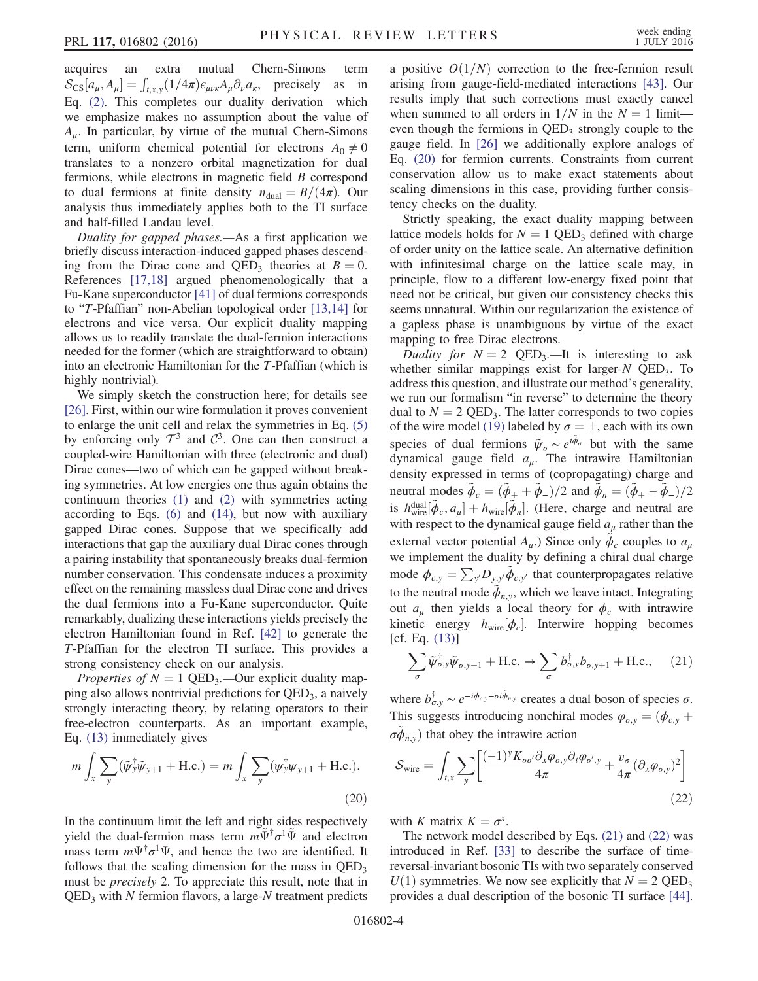acquires an extra mutual Chern-Simons term  $S_{\text{CS}}[a_{\mu}, A_{\mu}] = \int_{t,x,y} (1/4\pi) \epsilon_{\mu\nu\kappa} A_{\mu} \partial_{\nu} a_{\kappa}$ , precisely as in Eq. [\(2\)](#page-0-1). This completes our duality derivation—which we emphasize makes no assumption about the value of  $A<sub>u</sub>$ . In particular, by virtue of the mutual Chern-Simons term, uniform chemical potential for electrons  $A_0 \neq 0$ translates to a nonzero orbital magnetization for dual fermions, while electrons in magnetic field B correspond to dual fermions at finite density  $n_{\text{dual}} = B/(4\pi)$ . Our analysis thus immediately applies both to the TI surface and half-filled Landau level.

Duality for gapped phases.—As a first application we briefly discuss interaction-induced gapped phases descending from the Dirac cone and QED<sub>3</sub> theories at  $B = 0$ . References [\[17,18\]](#page-4-3) argued phenomenologically that a Fu-Kane superconductor [\[41\]](#page-4-14) of dual fermions corresponds to "T-Pfaffian" non-Abelian topological order [\[13,14\]](#page-4-2) for electrons and vice versa. Our explicit duality mapping allows us to readily translate the dual-fermion interactions needed for the former (which are straightforward to obtain) into an electronic Hamiltonian for the T-Pfaffian (which is highly nontrivial).

We simply sketch the construction here; for details see [\[26\]](#page-4-8). First, within our wire formulation it proves convenient to enlarge the unit cell and relax the symmetries in Eq. [\(5\)](#page-1-7) by enforcing only  $T^3$  and  $C^3$ . One can then construct a coupled-wire Hamiltonian with three (electronic and dual) Dirac cones—two of which can be gapped without breaking symmetries. At low energies one thus again obtains the continuum theories [\(1\)](#page-0-0) and [\(2\)](#page-0-1) with symmetries acting according to Eqs. [\(6\)](#page-1-4) and [\(14\)](#page-2-3), but now with auxiliary gapped Dirac cones. Suppose that we specifically add interactions that gap the auxiliary dual Dirac cones through a pairing instability that spontaneously breaks dual-fermion number conservation. This condensate induces a proximity effect on the remaining massless dual Dirac cone and drives the dual fermions into a Fu-Kane superconductor. Quite remarkably, dualizing these interactions yields precisely the electron Hamiltonian found in Ref. [\[42\]](#page-4-15) to generate the T-Pfaffian for the electron TI surface. This provides a strong consistency check on our analysis.

Properties of  $N = 1$  QED<sub>3</sub>.—Our explicit duality mapping also allows nontrivial predictions for QED<sub>3</sub>, a naively strongly interacting theory, by relating operators to their free-electron counterparts. As an important example, Eq. [\(13\)](#page-2-4) immediately gives

<span id="page-3-0"></span>
$$
m\int_{x}\sum_{y}(\tilde{\psi}_{y}^{\dagger}\tilde{\psi}_{y+1}+\text{H.c.})=m\int_{x}\sum_{y}(\psi_{y}^{\dagger}\psi_{y+1}+\text{H.c.}).
$$
\n(20)

In the continuum limit the left and right sides respectively yield the dual-fermion mass term  $m\tilde{\Psi}^{\dagger} \sigma^1 \tilde{\Psi}$  and electron mass term  $m\Psi^{\dagger} \sigma^{\dagger} \Psi$ , and hence the two are identified. It follows that the scaling dimension for the mass in  $QED<sub>3</sub>$ must be precisely 2. To appreciate this result, note that in  $OED<sub>3</sub>$  with N fermion flavors, a large-N treatment predicts a positive  $O(1/N)$  correction to the free-fermion result arising from gauge-field-mediated interactions [\[43\]](#page-4-16). Our results imply that such corrections must exactly cancel when summed to all orders in  $1/N$  in the  $N = 1$  limit even though the fermions in  $QED_3$  strongly couple to the gauge field. In [\[26\]](#page-4-8) we additionally explore analogs of Eq. [\(20\)](#page-3-0) for fermion currents. Constraints from current conservation allow us to make exact statements about scaling dimensions in this case, providing further consistency checks on the duality.

Strictly speaking, the exact duality mapping between lattice models holds for  $N = 1$  QED<sub>3</sub> defined with charge of order unity on the lattice scale. An alternative definition with infinitesimal charge on the lattice scale may, in principle, flow to a different low-energy fixed point that need not be critical, but given our consistency checks this seems unnatural. Within our regularization the existence of a gapless phase is unambiguous by virtue of the exact mapping to free Dirac electrons.

Duality for  $N = 2$  QED<sub>3</sub>.—It is interesting to ask whether similar mappings exist for larger- $N$  QED<sub>3</sub>. To address this question, and illustrate our method's generality, we run our formalism "in reverse" to determine the theory dual to  $N = 2$  QED<sub>3</sub>. The latter corresponds to two copies of the wire model [\(19\)](#page-2-5) labeled by  $\sigma = \pm$ , each with its own species of dual fermions  $\tilde{\psi}_{\sigma} \sim e^{i\tilde{\phi}_{\sigma}}$  but with the same dynamical gauge field  $a_{\mu}$ . The intrawire Hamiltonian density expressed in terms of (copropagating) charge and neutral modes  $\tilde{\phi}_c = (\tilde{\phi}_+ + \tilde{\phi}_-) / 2$  and  $\tilde{\phi}_n = (\tilde{\phi}_+ - \tilde{\phi}_-) / 2$ is  $h_{\text{wire}}^{\text{dual}}[\tilde{\phi}_c, a_\mu] + h_{\text{wire}}[\tilde{\phi}_n]$ . (Here, charge and neutral are with respect to the dynamical gauge field  $a_{\mu}$  rather than the external vector potential  $A_\mu$ .) Since only  $\phi_c$  couples to  $a_\mu$ we implement the duality by defining a chiral dual charge mode  $\phi_{c,y} = \sum_{y'} D_{y,y'} \phi_{c,y'}$  that counterpropagates relative to the neutral mode  $\phi_{n,y}$ , which we leave intact. Integrating out  $a_{\mu}$  then yields a local theory for  $\phi_c$  with intrawire kinetic energy  $h_{\text{wire}}[\phi_c]$ . Interwire hopping becomes [cf. Eq. [\(13\)\]](#page-2-4)

<span id="page-3-1"></span>
$$
\sum_{\sigma} \tilde{\psi}_{\sigma,y}^{\dagger} \tilde{\psi}_{\sigma,y+1} + \text{H.c.} \rightarrow \sum_{\sigma} b_{\sigma,y}^{\dagger} b_{\sigma,y+1} + \text{H.c.}, \quad (21)
$$

<span id="page-3-2"></span>where  $b^{\dagger}_{\sigma,y} \sim e^{-i\phi_{c,y} - \sigma i \tilde{\phi}_{n,y}}$  creates a dual boson of species  $\sigma$ . This suggests introducing nonchiral modes  $\varphi_{\sigma,y} = (\phi_{c,y} + \phi_{c,y})$  $\sigma\phi_{n,v}$ ) that obey the intrawire action

$$
S_{\text{wire}} = \int_{t,x} \sum_{y} \left[ \frac{(-1)^y K_{\sigma\sigma'} \partial_x \varphi_{\sigma,y} \partial_t \varphi_{\sigma',y}}{4\pi} + \frac{v_\sigma}{4\pi} (\partial_x \varphi_{\sigma,y})^2 \right]
$$
(22)

with K matrix  $K = \sigma^x$ .

The network model described by Eqs. [\(21\)](#page-3-1) and [\(22\)](#page-3-2) was introduced in Ref. [\[33\]](#page-4-9) to describe the surface of timereversal-invariant bosonic TIs with two separately conserved  $U(1)$  symmetries. We now see explicitly that  $N = 2$  QED<sub>3</sub> provides a dual description of the bosonic TI surface [\[44\]](#page-4-17).